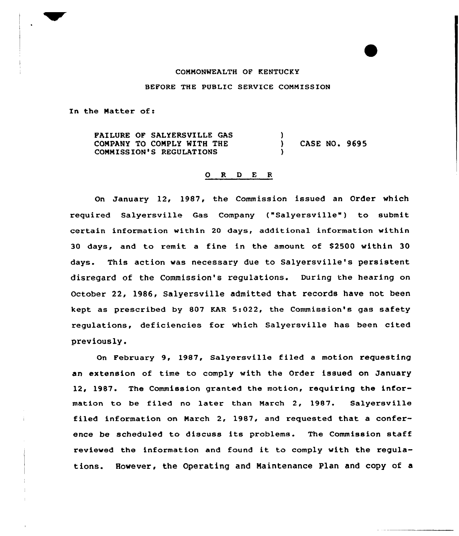## COMMONWEALTH OF KENTUCKY

## BEFORE THE PUBLIC SERVICE COMMISSION

In the Matter of:

FAILURE OF SALYERSVILLE GAS COMPANY TO CONPLY NITH THE COMMISSION'S REGULATIONS )<br>) ) CASE NO. 9695 )

## 0 <sup>R</sup> <sup>D</sup> E <sup>R</sup>

On January 12, 1987, the Commission issued an Order which required Salyersville Gas Company {"Salyersville") to submit certain information within 20 days, additional information within 30 days, and to remit a fine in the amount of \$2500 within 30 days. This action was necessary due to Salyersville's persistent disregard of the Commission's regulations. During the hearing on October 22, 1986, Salyersville admitted that records have not been kept as prescribed by 807 KAR 5:022, the Commission's gas safety regulations, deficiencies for which Salyersville has been cited previously.

On February 9, 198?, Salyersville filed a motion requesting an extension of time to comply with the Order issued on January 12, 1987. The Commission granted the motion, requiring the information to be filed no later than March 2, 1987. Salyersville filed information on Narch 2, 1987, and requested that a conference be scheduled to discuss its problems. The Commission staff reviewed the information and found it to comply with the regulations. However, the Operating and Maintenance Plan and copy of a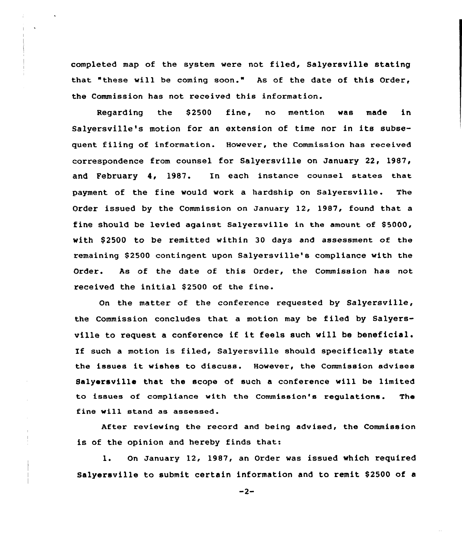completed map of the system were not filed, Salyersville stating that "these will be coming soon." As of the date of this Order, the Commission has not received this information.

Regarding the \$2500 fine, no mention was made in Salyersville's motion for an extension of time nor in its subsequent filing of information. However, the Commission has received correspondence from counsel for Salyersville on January 22, 1987, and February 4, 1987. In each instance counsel states that payment of the fine would work a hardship on Salyersville. The Order issued by the Commission on Januaxy 12, 1987, found that a fine should be levied against Salyersville in the amount of \$5000, with \$ 2500 to be remitted within 30 days and assessment of the remaining \$2500 contingent upon Salyersville's compliance with the Order. As of the date of this Order, the Commission has not received the initial \$2500 of the fine.

On the matter of the conference requested by Salyersville, the Commission concludes that a motion may be filed by Salyersville to request <sup>a</sup> conference if it feels such will be beneficial. If such <sup>a</sup> motion is filed, Salyersville should specifically state the issues it wishes to discuss. However, the Commission advises Salyersville that the scope of such a conference will be limited to issues of compliance with the Commission's regulations. The fine will stand as assessed.

After reviewing the record and being advised, the Commission is of the opinion and hereby finds that:

1. On January 12, 1987, an Order was issued which required Salyersville to submit certain information and to remit \$2500 of a

 $-2-$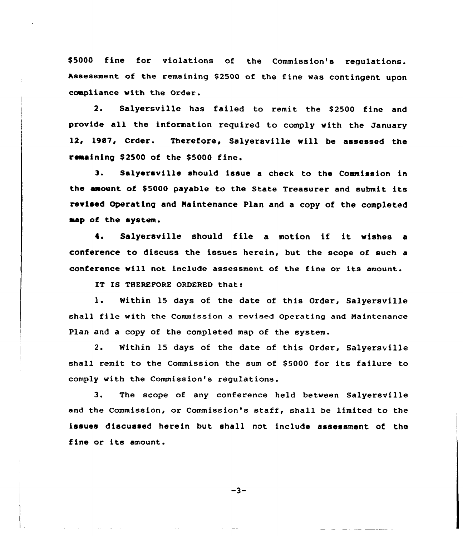\$5000 fine for violations of the Commission's regulations. assessment of the remaining \$2500 of the fine was contingent upon coapliance with the Order.

2. Salyersville has failed to remit the S2500 fine and provide all the information required to comply with the January 12, 1987, Order. Therefore, Salyersville will be assessed the remaining \$2500 of the \$5000 fine.

3. Salyersville should issue <sup>a</sup> check to the Commission in the amount of \$5000 payable to the State Treasurer and submit its revised Operating and Naintenance Plan and a copy of the completed aap of the system.

4. Salyersville should file <sup>a</sup> motion if it wishes <sup>a</sup> conference to discuss the issues herein, but the scope of such a conference will not include assessment of the fine or its amount.

IT IS THEREPORE ORDERED that:

1. Within <sup>15</sup> days of the date of this Order, Salyersville shall file with the Commission <sup>a</sup> revised Operating and Naintenance Plan and a copy of the completed map of the system.

2. Within 15 days of the date of this Order, Salyersville shall remit to the Commission the sum of \$5000 for its failure to comply with the Commission's regulations.

3. The scope of any conference held between Salyersvflle and the Commission, or Commission's staff, shall be limited to the issues discussed herein but shall not include assessment of the fine or its amount.